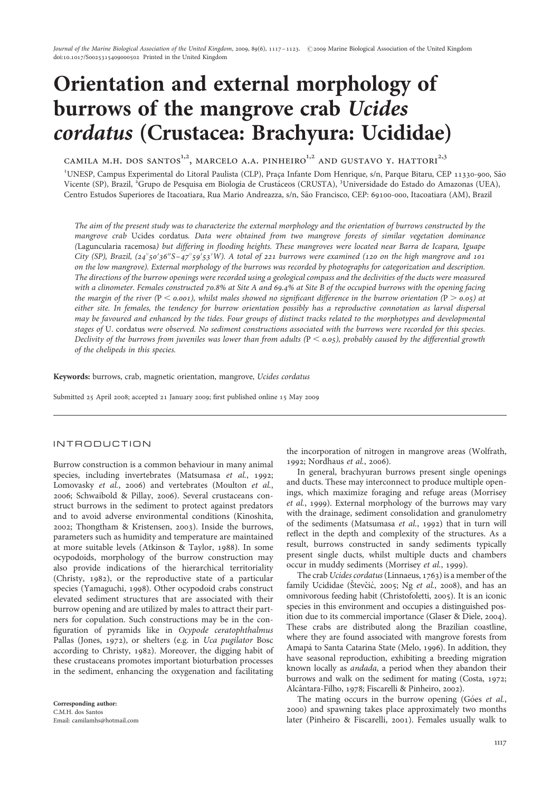# Orientation and external morphology of burrows of the mangrove crab Ucides cordatus (Crustacea: Brachyura: Ucididae)

CAMILA M.H. DOS SANTOS $^{1,2}$ , MARCELO A.A. PINHEIRO $^{1,2}$  AND GUSTAVO Y. HATTORI $^{2,3}$ 

<sup>1</sup>UNESP, Campus Experimental do Litoral Paulista (CLP), Praça Infante Dom Henrique, s/n, Parque Bitaru, CEP 11330-900, São Vicente (SP), Brazil, <sup>2</sup>Grupo de Pesquisa em Biologia de Crustáceos (CRUSTA), <sup>3</sup>Universidade do Estado do Amazonas (UEA), Centro Estudos Superiores de Itacoatiara, Rua Mario Andreazza, s/n, São Francisco, CEP: 69100-000, Itacoatiara (AM), Brazil

The aim of the present study was to characterize the external morphology and the orientation of burrows constructed by the mangrove crab Ucides cordatus. Data were obtained from two mangrove forests of similar vegetation dominance (Laguncularia racemosa) but differing in flooding heights. These mangroves were located near Barra de Icapara, Iguape City (SP), Brazil,  $(24^\circ 50' 36'' 5 - 47^\circ 59' 53' W)$ . A total of 221 burrows were examined (120 on the high mangrove and 101 on the low mangrove). External morphology of the burrows was recorded by photographs for categorization and description. The directions of the burrow openings were recorded using a geological compass and the declivities of the ducts were measured with a clinometer. Females constructed 70.8% at Site A and 69.4% at Site B of the occupied burrows with the opening facing the margin of the river (P  $\leq$  0.001), whilst males showed no significant difference in the burrow orientation (P  $\geq$  0.05) at either site. In females, the tendency for burrow orientation possibly has a reproductive connotation as larval dispersal may be favoured and enhanced by the tides. Four groups of distinct tracks related to the morphotypes and developmental stages of U. cordatus were observed. No sediment constructions associated with the burrows were recorded for this species. Declivity of the burrows from juveniles was lower than from adults  $(P < 0.05)$ , probably caused by the differential growth of the chelipeds in this species.

Keywords: burrows, crab, magnetic orientation, mangrove, Ucides cordatus

Submitted 25 April 2008; accepted 21 January 2009; first published online 15 May 2009

### INTRODUCTION

Burrow construction is a common behaviour in many animal species, including invertebrates (Matsumasa et al., 1992; Lomovasky et al., 2006) and vertebrates (Moulton et al., 2006; Schwaibold & Pillay, 2006). Several crustaceans construct burrows in the sediment to protect against predators and to avoid adverse environmental conditions (Kinoshita, 2002; Thongtham & Kristensen, 2003). Inside the burrows, parameters such as humidity and temperature are maintained at more suitable levels (Atkinson & Taylor, 1988). In some ocypodoids, morphology of the burrow construction may also provide indications of the hierarchical territoriality (Christy, 1982), or the reproductive state of a particular species (Yamaguchi, 1998). Other ocypodoid crabs construct elevated sediment structures that are associated with their burrow opening and are utilized by males to attract their partners for copulation. Such constructions may be in the configuration of pyramids like in Ocypode ceratophthalmus Pallas (Jones, 1972), or shelters (e.g. in Uca pugilator Bosc according to Christy, 1982). Moreover, the digging habit of these crustaceans promotes important bioturbation processes in the sediment, enhancing the oxygenation and facilitating

Corresponding author: C.M.H. dos Santos Email: camilamhs@hotmail.com the incorporation of nitrogen in mangrove areas (Wolfrath, 1992; Nordhaus et al., 2006).

In general, brachyuran burrows present single openings and ducts. These may interconnect to produce multiple openings, which maximize foraging and refuge areas (Morrisey et al., 1999). External morphology of the burrows may vary with the drainage, sediment consolidation and granulometry of the sediments (Matsumasa et al., 1992) that in turn will reflect in the depth and complexity of the structures. As a result, burrows constructed in sandy sediments typically present single ducts, whilst multiple ducts and chambers occur in muddy sediments (Morrisey et al., 1999).

The crab Ucides cordatus (Linnaeus,  $1763$ ) is a member of the family Ucididae (Stevčić, 2005; Ng et al., 2008), and has an omnivorous feeding habit (Christofoletti, 2005). It is an iconic species in this environment and occupies a distinguished position due to its commercial importance (Glaser & Diele, 2004). These crabs are distributed along the Brazilian coastline, where they are found associated with mangrove forests from Amapa´ to Santa Catarina State (Melo, 1996). In addition, they have seasonal reproduction, exhibiting a breeding migration known locally as andada, a period when they abandon their burrows and walk on the sediment for mating (Costa, 1972; Alcântara-Filho, 1978; Fiscarelli & Pinheiro, 2002).

The mating occurs in the burrow opening (Góes et al., 2000) and spawning takes place approximately two months later (Pinheiro & Fiscarelli, 2001). Females usually walk to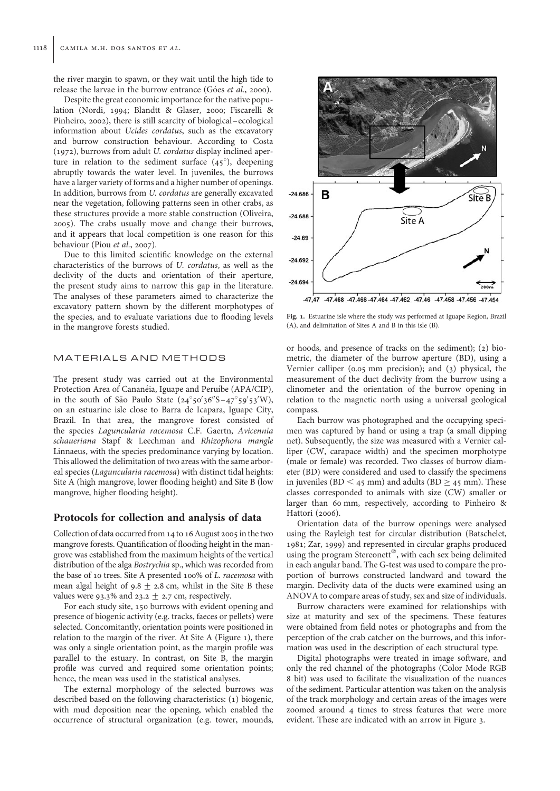the river margin to spawn, or they wait until the high tide to release the larvae in the burrow entrance (Góes et al., 2000).

Despite the great economic importance for the native population (Nordi, 1994; Blandtt & Glaser, 2000; Fiscarelli & Pinheiro, 2002), there is still scarcity of biological –ecological information about Ucides cordatus, such as the excavatory and burrow construction behaviour. According to Costa (1972), burrows from adult U. cordatus display inclined aperture in relation to the sediment surface  $(45^{\circ})$ , deepening abruptly towards the water level. In juveniles, the burrows have a larger variety of forms and a higher number of openings. In addition, burrows from U. cordatus are generally excavated near the vegetation, following patterns seen in other crabs, as these structures provide a more stable construction (Oliveira, 2005). The crabs usually move and change their burrows, and it appears that local competition is one reason for this behaviour (Piou et al., 2007).

Due to this limited scientific knowledge on the external characteristics of the burrows of U. cordatus, as well as the declivity of the ducts and orientation of their aperture, the present study aims to narrow this gap in the literature. The analyses of these parameters aimed to characterize the excavatory pattern shown by the different morphotypes of the species, and to evaluate variations due to flooding levels in the mangrove forests studied.

## MATERIALS AND METHODS

The present study was carried out at the Environmental Protection Area of Cananéia, Iguape and Peruíbe (APA/CIP), in the south of São Paulo State  $(24^{\circ}50'36''S - 47^{\circ}59'53'W)$ , on an estuarine isle close to Barra de Icapara, Iguape City, Brazil. In that area, the mangrove forest consisted of the species Laguncularia racemosa C.F. Gaertn, Avicennia schaueriana Stapf & Leechman and Rhizophora mangle Linnaeus, with the species predominance varying by location. This allowed the delimitation of two areas with the same arboreal species (Laguncularia racemosa) with distinct tidal heights: Site A (high mangrove, lower flooding height) and Site B (low mangrove, higher flooding height).

## Protocols for collection and analysis of data

Collection of data occurred from 14 to 16 August 2005 in the two mangrove forests. Quantification of flooding height in the mangrove was established from the maximum heights of the vertical distribution of the alga Bostrychia sp., which was recorded from the base of 10 trees. Site A presented 100% of L. racemosa with mean algal height of 9.8  $\pm$  2.8 cm, whilst in the Site B these values were 93.3% and 23.2  $\pm$  2.7 cm, respectively.

For each study site, 150 burrows with evident opening and presence of biogenic activity (e.g. tracks, faeces or pellets) were selected. Concomitantly, orientation points were positioned in relation to the margin of the river. At Site A (Figure 1), there was only a single orientation point, as the margin profile was parallel to the estuary. In contrast, on Site B, the margin profile was curved and required some orientation points; hence, the mean was used in the statistical analyses.

The external morphology of the selected burrows was described based on the following characteristics: (1) biogenic, with mud deposition near the opening, which enabled the occurrence of structural organization (e.g. tower, mounds,



Fig. 1. Estuarine isle where the study was performed at Iguape Region, Brazil (A), and delimitation of Sites A and B in this isle (B).

or hoods, and presence of tracks on the sediment); (2) biometric, the diameter of the burrow aperture (BD), using a Vernier calliper (0.05 mm precision); and (3) physical, the measurement of the duct declivity from the burrow using a clinometer and the orientation of the burrow opening in relation to the magnetic north using a universal geological compass.

Each burrow was photographed and the occupying specimen was captured by hand or using a trap (a small dipping net). Subsequently, the size was measured with a Vernier calliper (CW, carapace width) and the specimen morphotype (male or female) was recorded. Two classes of burrow diameter (BD) were considered and used to classify the specimens in juveniles (BD < 45 mm) and adults (BD  $\geq$  45 mm). These classes corresponded to animals with size (CW) smaller or larger than 60 mm, respectively, according to Pinheiro & Hattori (2006).

Orientation data of the burrow openings were analysed using the Rayleigh test for circular distribution (Batschelet, 1981; Zar, 1999) and represented in circular graphs produced using the program Stereonett®, with each sex being delimited in each angular band. The G-test was used to compare the proportion of burrows constructed landward and toward the margin. Declivity data of the ducts were examined using an ANOVA to compare areas of study, sex and size of individuals.

Burrow characters were examined for relationships with size at maturity and sex of the specimens. These features were obtained from field notes or photographs and from the perception of the crab catcher on the burrows, and this information was used in the description of each structural type.

Digital photographs were treated in image software, and only the red channel of the photographs (Color Mode RGB 8 bit) was used to facilitate the visualization of the nuances of the sediment. Particular attention was taken on the analysis of the track morphology and certain areas of the images were zoomed around 4 times to stress features that were more evident. These are indicated with an arrow in Figure 3.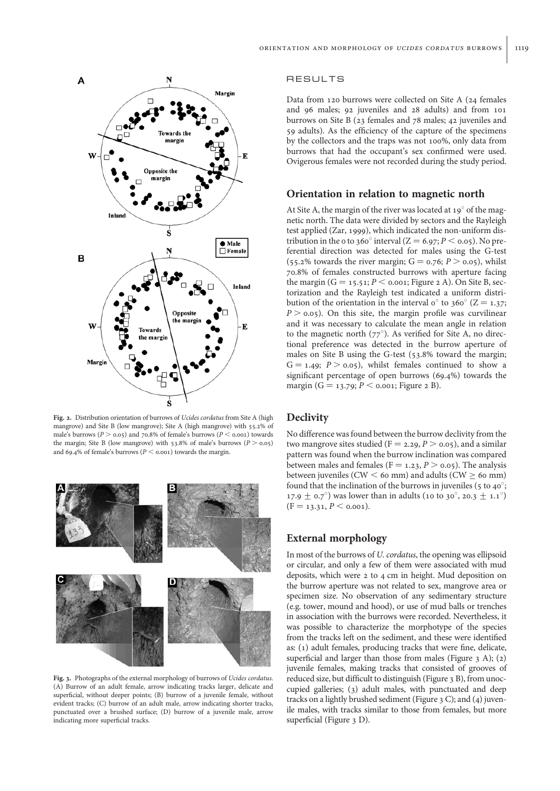

Fig. 2. Distribution orientation of burrows of *Ucides cordatus* from Site A (high mangrove) and Site B (low mangrove); Site A (high mangrove) with 55.2% of male's burrows ( $P > 0.05$ ) and 70.8% of female's burrows ( $P < 0.001$ ) towards the margin; Site B (low mangrove) with 53.8% of male's burrows ( $P > 0.05$ ) and 69.4% of female's burrows ( $P <$  0.001) towards the margin.



Fig. 3. Photographs of the external morphology of burrows of Ucides cordatus. (A) Burrow of an adult female, arrow indicating tracks larger, delicate and superficial, without deeper points; (B) burrow of a juvenile female, without evident tracks; (C) burrow of an adult male, arrow indicating shorter tracks, punctuated over a brushed surface; (D) burrow of a juvenile male, arrow indicating more superficial tracks.

#### RESULTS

Data from 120 burrows were collected on Site A (24 females and 96 males; 92 juveniles and 28 adults) and from 101 burrows on Site B (23 females and 78 males; 42 juveniles and 59 adults). As the efficiency of the capture of the specimens by the collectors and the traps was not 100%, only data from burrows that had the occupant's sex confirmed were used. Ovigerous females were not recorded during the study period.

#### Orientation in relation to magnetic north

At Site A, the margin of the river was located at  $19^\circ$  of the magnetic north. The data were divided by sectors and the Rayleigh test applied (Zar, 1999), which indicated the non-uniform distribution in the 0 to 360° interval (Z = 6.97; P < 0.05). No preferential direction was detected for males using the G-test (55.2% towards the river margin;  $G = 0.76$ ;  $P > 0.05$ ), whilst 70.8% of females constructed burrows with aperture facing the margin  $(G = 15.51; P \le 0.001;$  Figure 2 A). On Site B, sectorization and the Rayleigh test indicated a uniform distribution of the orientation in the interval  $o^{\circ}$  to 360° (Z = 1.37;  $P > 0.05$ ). On this site, the margin profile was curvilinear and it was necessary to calculate the mean angle in relation to the magnetic north  $(77^{\circ})$ . As verified for Site A, no directional preference was detected in the burrow aperture of males on Site B using the G-test (53.8% toward the margin;  $G = 1.49; P > 0.05$ , whilst females continued to show a significant percentage of open burrows (69.4%) towards the margin ( $G = 13.79$ ;  $P < 0.001$ ; Figure 2 B).

## **Declivity**

No difference was found between the burrow declivity from the two mangrove sites studied ( $F = 2.29, P > 0.05$ ), and a similar pattern was found when the burrow inclination was compared between males and females ( $F = 1.23$ ,  $P > 0.05$ ). The analysis between juveniles (CW  $<$  60 mm) and adults (CW  $\geq$  60 mm) found that the inclination of the burrows in juveniles (5 to 40 $\degree$ ; 17.9  $\pm$  0.7°) was lower than in adults (10 to 30°, 20.3  $\pm$  1.1°)  $(F = 13.31, P \le 0.001).$ 

## External morphology

In most of the burrows of U. cordatus, the opening was ellipsoid or circular, and only a few of them were associated with mud deposits, which were 2 to 4 cm in height. Mud deposition on the burrow aperture was not related to sex, mangrove area or specimen size. No observation of any sedimentary structure (e.g. tower, mound and hood), or use of mud balls or trenches in association with the burrows were recorded. Nevertheless, it was possible to characterize the morphotype of the species from the tracks left on the sediment, and these were identified as: (1) adult females, producing tracks that were fine, delicate, superficial and larger than those from males (Figure  $3$  A); (2) juvenile females, making tracks that consisted of grooves of reduced size, but difficult to distinguish (Figure 3 B), from unoccupied galleries; (3) adult males, with punctuated and deep tracks on a lightly brushed sediment (Figure 3 C); and (4) juvenile males, with tracks similar to those from females, but more superficial (Figure 3 D).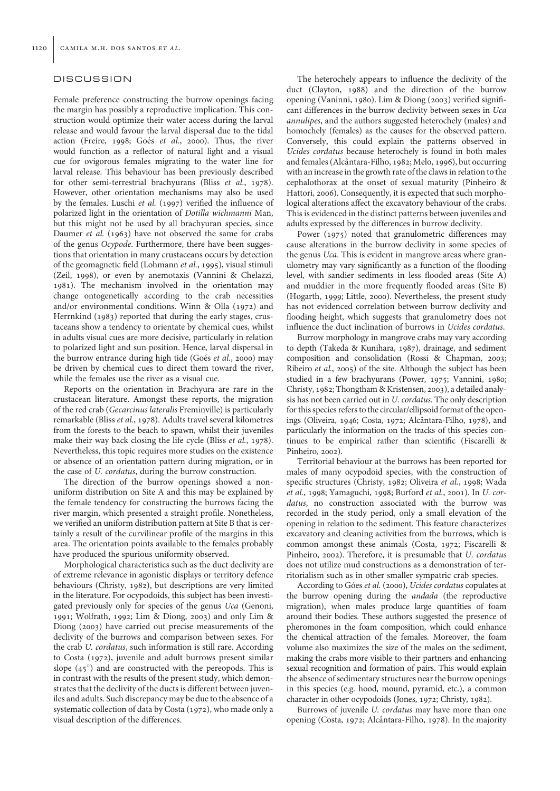#### DISCUSSION

Female preference constructing the burrow openings facing the margin has possibly a reproductive implication. This construction would optimize their water access during the larval release and would favour the larval dispersal due to the tidal action (Freire, 1998; Goés et al., 2000). Thus, the river would function as a reflector of natural light and a visual cue for ovigorous females migrating to the water line for larval release. This behaviour has been previously described for other semi-terrestrial brachyurans (Bliss et al., 1978). However, other orientation mechanisms may also be used by the females. Luschi et al. (1997) verified the influence of polarized light in the orientation of Dotilla wichmanni Man, but this might not be used by all brachyuran species, since Daumer et al. (1963) have not observed the same for crabs of the genus Ocypode. Furthermore, there have been suggestions that orientation in many crustaceans occurs by detection of the geomagnetic field (Lohmann et al., 1995), visual stimuli (Zeil, 1998), or even by anemotaxis (Vannini & Chelazzi, 1981). The mechanism involved in the orientation may change ontogenetically according to the crab necessities and/or environmental conditions. Winn & Olla (1972) and Herrnkind (1983) reported that during the early stages, crustaceans show a tendency to orientate by chemical cues, whilst in adults visual cues are more decisive, particularly in relation to polarized light and sun position. Hence, larval dispersal in the burrow entrance during high tide (Goés et al., 2000) may be driven by chemical cues to direct them toward the river, while the females use the river as a visual cue.

Reports on the orientation in Brachyura are rare in the crustacean literature. Amongst these reports, the migration of the red crab (Gecarcinus lateralis Freminville) is particularly remarkable (Bliss et al., 1978). Adults travel several kilometres from the forests to the beach to spawn, whilst their juveniles make their way back closing the life cycle (Bliss et al., 1978). Nevertheless, this topic requires more studies on the existence or absence of an orientation pattern during migration, or in the case of U. cordatus, during the burrow construction.

The direction of the burrow openings showed a nonuniform distribution on Site A and this may be explained by the female tendency for constructing the burrows facing the river margin, which presented a straight profile. Nonetheless, we verified an uniform distribution pattern at Site B that is certainly a result of the curvilinear profile of the margins in this area. The orientation points available to the females probably have produced the spurious uniformity observed.

Morphological characteristics such as the duct declivity are of extreme relevance in agonistic displays or territory defence behaviours (Christy, 1982), but descriptions are very limited in the literature. For ocypodoids, this subject has been investigated previously only for species of the genus Uca (Genoni, 1991; Wolfrath, 1992; Lim & Diong, 2003) and only Lim & Diong (2003) have carried out precise measurements of the declivity of the burrows and comparison between sexes. For the crab U. cordatus, such information is still rare. According to Costa (1972), juvenile and adult burrows present similar slope  $(45^{\circ})$  and are constructed with the pereopods. This is in contrast with the results of the present study, which demonstrates that the declivity of the ducts is different between juveniles and adults. Such discrepancy may be due to the absence of a systematic collection of data by Costa (1972), who made only a visual description of the differences.

The heterochely appears to influence the declivity of the duct (Clayton, 1988) and the direction of the burrow opening (Vaninni, 1980). Lim & Diong (2003) verified significant differences in the burrow declivity between sexes in Uca annulipes, and the authors suggested heterochely (males) and homochely (females) as the causes for the observed pattern. Conversely, this could explain the patterns observed in Ucides cordatus because heterochely is found in both males and females (Alcântara-Filho, 1982; Melo, 1996), but occurring with an increase in the growth rate of the claws in relation to the cephalothorax at the onset of sexual maturity (Pinheiro & Hattori, 2006). Consequently, it is expected that such morphological alterations affect the excavatory behaviour of the crabs. This is evidenced in the distinct patterns between juveniles and adults expressed by the differences in burrow declivity.

Power (1975) noted that granulometric differences may cause alterations in the burrow declivity in some species of the genus *Uca*. This is evident in mangrove areas where granulometry may vary significantly as a function of the flooding level, with sandier sediments in less flooded areas (Site A) and muddier in the more frequently flooded areas (Site B) (Hogarth, 1999; Little, 2000). Nevertheless, the present study has not evidenced correlation between burrow declivity and flooding height, which suggests that granulometry does not influence the duct inclination of burrows in Ucides cordatus.

Burrow morphology in mangrove crabs may vary according to depth (Takeda & Kunihara, 1987), drainage, and sediment composition and consolidation (Rossi & Chapman, 2003; Ribeiro et al., 2005) of the site. Although the subject has been studied in a few brachyurans (Power, 1975; Vannini, 1980; Christy, 1982; Thongtham & Kristensen, 2003), a detailed analysis has not been carried out in U. cordatus. The only description for this species refers to the circular/ellipsoid format of the openings (Oliveira, 1946; Costa, 1972; Alcântara-Filho, 1978), and particularly the information on the tracks of this species continues to be empirical rather than scientific (Fiscarelli & Pinheiro, 2002).

Territorial behaviour at the burrows has been reported for males of many ocypodoid species, with the construction of specific structures (Christy, 1982; Oliveira et al., 1998; Wada et al., 1998; Yamaguchi, 1998; Burford et al., 2001). In U. cordatus, no construction associated with the burrow was recorded in the study period, only a small elevation of the opening in relation to the sediment. This feature characterizes excavatory and cleaning activities from the burrows, which is common amongst these animals (Costa, 1972; Fiscarelli & Pinheiro, 2002). Therefore, it is presumable that U. cordatus does not utilize mud constructions as a demonstration of territorialism such as in other smaller sympatric crab species.

According to Góes et al. (2000), Ucides cordatus copulates at the burrow opening during the andada (the reproductive migration), when males produce large quantities of foam around their bodies. These authors suggested the presence of pheromones in the foam composition, which could enhance the chemical attraction of the females. Moreover, the foam volume also maximizes the size of the males on the sediment, making the crabs more visible to their partners and enhancing sexual recognition and formation of pairs. This would explain the absence of sedimentary structures near the burrow openings in this species (e.g. hood, mound, pyramid, etc.), a common character in other ocypodoids (Jones, 1972; Christy, 1982).

Burrows of juvenile U. cordatus may have more than one opening (Costa, 1972; Alcântara-Filho, 1978). In the majority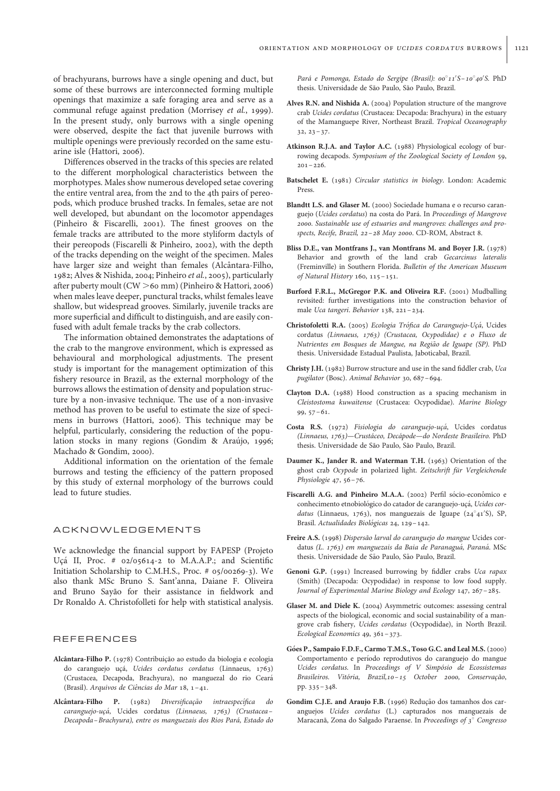of brachyurans, burrows have a single opening and duct, but some of these burrows are interconnected forming multiple openings that maximize a safe foraging area and serve as a communal refuge against predation (Morrisey et al., 1999). In the present study, only burrows with a single opening were observed, despite the fact that juvenile burrows with multiple openings were previously recorded on the same estuarine isle (Hattori, 2006).

Differences observed in the tracks of this species are related to the different morphological characteristics between the morphotypes. Males show numerous developed setae covering the entire ventral area, from the 2nd to the 4th pairs of pereopods, which produce brushed tracks. In females, setae are not well developed, but abundant on the locomotor appendages (Pinheiro & Fiscarelli, 2001). The finest grooves on the female tracks are attributed to the more styliform dactyls of their pereopods (Fiscarelli & Pinheiro, 2002), with the depth of the tracks depending on the weight of the specimen. Males have larger size and weight than females (Alcântara-Filho, 1982; Alves & Nishida, 2004; Pinheiro et al., 2005), particularly after puberty moult (CW >60 mm) (Pinheiro & Hattori, 2006) when males leave deeper, punctural tracks, whilst females leave shallow, but widespread grooves. Similarly, juvenile tracks are more superficial and difficult to distinguish, and are easily confused with adult female tracks by the crab collectors.

The information obtained demonstrates the adaptations of the crab to the mangrove environment, which is expressed as behavioural and morphological adjustments. The present study is important for the management optimization of this fishery resource in Brazil, as the external morphology of the burrows allows the estimation of density and population structure by a non-invasive technique. The use of a non-invasive method has proven to be useful to estimate the size of specimens in burrows (Hattori, 2006). This technique may be helpful, particularly, considering the reduction of the population stocks in many regions (Gondim & Araújo, 1996; Machado & Gondim, 2000).

Additional information on the orientation of the female burrows and testing the efficiency of the pattern proposed by this study of external morphology of the burrows could lead to future studies.

#### ACKNOWLEDGEMENTS

We acknowledge the financial support by FAPESP (Projeto Uçá II, Proc. # 02/05614-2 to M.A.A.P.; and Scientific Initiation Scholarship to C.M.H.S., Proc. # 05/00269-3). We also thank MSc Bruno S. Sant'anna, Daiane F. Oliveira and Bruno Sayão for their assistance in fieldwork and Dr Ronaldo A. Christofolleti for help with statistical analysis.

#### REFERENCES

- Alcântara-Filho P. (1978) Contribuição ao estudo da biologia e ecologia do caranguejo uçá, Ucides cordatus cordatus (Linnaeus, 1763) (Crustacea, Decapoda, Brachyura), no manguezal do rio Ceara´ (Brasil). Arquivos de Ciências do Mar 18, 1-41.
- Alcântara-Filho P. (1982) Diversificação intraespecífica do caranguejo-uçá, Ucides cordatus (Linnaeus, 1763) (Crustacea-Decapoda–Brachyura), entre os manguezais dos Rios Pará, Estado do

Pará e Pomonga, Estado do Sergipe (Brasil): 00°11'S-10°40'S. PhD thesis. Universidade de São Paulo, São Paulo, Brazil.

- Alves R.N. and Nishida A. (2004) Population structure of the mangrove crab Ucides cordatus (Crustacea: Decapoda: Brachyura) in the estuary of the Mamanguepe River, Northeast Brazil. Tropical Oceanography 32, 23–37.
- Atkinson R.J.A. and Taylor A.C. (1988) Physiological ecology of burrowing decapods. Symposium of the Zoological Society of London 59,  $201 - 226$ .
- Batschelet E. (1981) Circular statistics in biology. London: Academic Press.
- Blandtt L.S. and Glaser M. (2000) Sociedade humana e o recurso caranguejo (Ucides cordatus) na costa do Pará. In Proceedings of Mangrove 2000. Sustainable use of estuaries and mangroves: challenges and prospects, Recife, Brazil, 22–28 May 2000. CD-ROM, Abstract 8.
- Bliss D.E., van Montfrans J., van Montfrans M. and Boyer J.R. (1978) Behavior and growth of the land crab Gecarcinus lateralis (Freminville) in Southern Florida. Bulletin of the American Museum of Natural History 160, 115–151.
- Burford F.R.L., McGregor P.K. and Oliveira R.F. (2001) Mudballing revisited: further investigations into the construction behavior of male Uca tangeri. Behavior 138, 221–234.
- Christofoletti R.A. (2005) Ecologia Trófica do Caranguejo-Uçá, Ucides cordatus (Linnaeus, 1763) (Crustacea, Ocypodidae) e o Fluxo de Nutrientes em Bosques de Mangue, na Região de Iguape (SP). PhD thesis. Universidade Estadual Paulista, Jaboticabal, Brazil.
- Christy J.H. (1982) Burrow structure and use in the sand fiddler crab, Uca pugilator (Bosc). Animal Behavior 30, 687–694.
- Clayton D.A. (1988) Hood construction as a spacing mechanism in Cleistostoma kuwaitense (Crustacea: Ocypodidae). Marine Biology 99, 57–61.
- Costa R.S. (1972) Fisiologia do caranguejo-uçá, Ucides cordatus (Linnaeus, 1763)—Crustáceo, Decápode—do Nordeste Brasileiro. PhD thesis. Universidade de São Paulo, São Paulo, Brazil.
- Daumer K., Jander R. and Waterman T.H. (1963) Orientation of the ghost crab Ocypode in polarized light. Zeitschrift für Vergleichende Physiologie 47, 56–76.
- Fiscarelli A.G. and Pinheiro M.A.A. (2002) Perfil sócio-econômico e conhecimento etnobiológico do catador de caranguejo-uçá, Ucides cordatus (Linnaeus, 1763), nos manguezais de Iguape (24°41'S), SP, Brasil. Actualidades Biológicas 24, 129-142.
- Freire A.S. (1998) Dispersão larval do caranguejo do mangue Ucides cordatus (L. 1763) em manguezais da Baia de Paranaguá, Paraná. MSc thesis. Universidade de São Paulo, São Paulo, Brazil.
- Genoni G.P. (1991) Increased burrowing by fiddler crabs Uca rapax (Smith) (Decapoda: Ocypodidae) in response to low food supply. Journal of Experimental Marine Biology and Ecology 147, 267–285.
- Glaser M. and Diele K. (2004) Asymmetric outcomes: assessing central aspects of the biological, economic and social sustainability of a mangrove crab fishery, Ucides cordatus (Ocypodidae), in North Brazil. Ecological Economics 49, 361–373.
- Góes P., Sampaio F.D.F., Carmo T.M.S., Toso G.C. and Leal M.S. (2000) Comportamento e período reprodutivos do caranguejo do mangue Ucides cordatus. In Proceedings of V Simpósio de Ecossistemas Brasileiros. Vitória, Brazil,10-15 October 2000, Conservação, pp. 335–348.
- Gondim C.J.E. and Araujo F.B. (1996) Redução dos tamanhos dos caranguejos Ucides cordatus (L.) capturados nos manguezais de Maracanã, Zona do Salgado Paraense. In Proceedings of 3° Congresso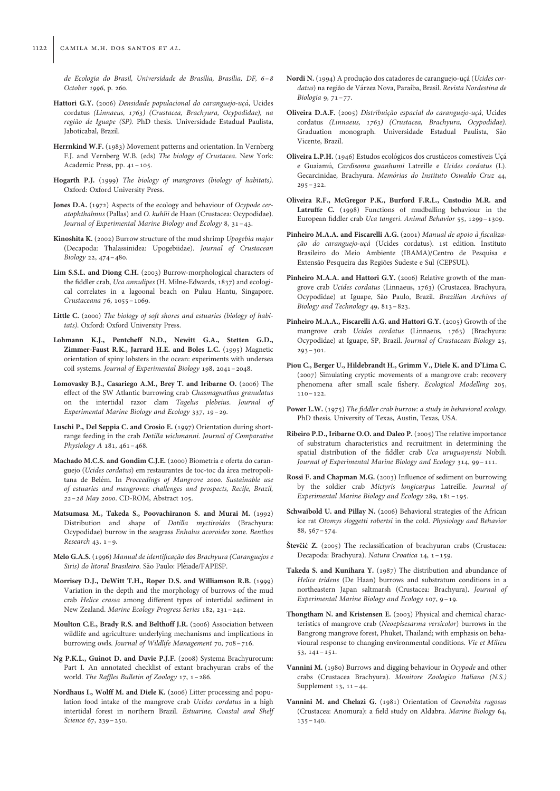de Ecologia do Brasil, Universidade de Brasília, Brasília, DF, 6-8 October 1996, p. 260.

- Hattori G.Y. (2006) Densidade populacional do caranguejo-ucá, Ucides cordatus (Linnaeus, 1763) (Crustacea, Brachyura, Ocypodidae), na região de Iguape (SP). PhD thesis. Universidade Estadual Paulista, Jaboticabal, Brazil.
- Herrnkind W.F. (1983) Movement patterns and orientation. In Vernberg F.J. and Vernberg W.B. (eds) The biology of Crustacea. New York: Academic Press, pp. 41–105.
- Hogarth P.J. (1999) The biology of mangroves (biology of habitats). Oxford: Oxford University Press.
- Jones D.A. (1972) Aspects of the ecology and behaviour of Ocypode ceratophthalmus (Pallas) and O. kuhlii de Haan (Crustacea: Ocypodidae). Journal of Experimental Marine Biology and Ecology 8, 31–43.
- Kinoshita K. (2002) Burrow structure of the mud shrimp Upogebia major (Decapoda: Thalassinidea: Upogebiidae). Journal of Crustacean Biology 22, 474–480.
- Lim S.S.L. and Diong C.H. (2003) Burrow-morphological characters of the fiddler crab, Uca annulipes (H. Milne-Edwards, 1837) and ecological correlates in a lagoonal beach on Pulau Hantu, Singapore. Crustaceana 76, 1055–1069.
- Little C. (2000) The biology of soft shores and estuaries (biology of habitats). Oxford: Oxford University Press.
- Lohmann K.J., Pentcheff N.D., Newitt G.A., Stetten G.D., Zimmer-Faust R.K., Jarrard H.E. and Boles L.C. (1995) Magnetic orientation of spiny lobsters in the ocean: experiments with undersea coil systems. Journal of Experimental Biology 198, 2041–2048.
- Lomovasky B.J., Casariego A.M., Brey T. and Iribarne O. (2006) The effect of the SW Atlantic burrowing crab Chasmagnathus granulatus on the intertidal razor clam Tagelus plebeius. Journal of Experimental Marine Biology and Ecology 337, 19–29.
- Luschi P., Del Seppia C. and Crosio E. (1997) Orientation during shortrange feeding in the crab Dotilla wichmanni. Journal of Comparative Physiology A 181, 461–468.
- Machado M.C.S. and Gondim C.J.E. (2000) Biometria e oferta do caranguejo (Ucides cordatus) em restaurantes de toc-toc da área metropolitana de Belém. In Proceedings of Mangrove 2000. Sustainable use of estuaries and mangroves: challenges and prospects, Recife, Brazil, 22–28 May 2000. CD-ROM, Abstract 105.
- Matsumasa M., Takeda S., Poovachiranon S. and Murai M. (1992) Distribution and shape of Dotilla myctiroides (Brachyura: Ocypodidae) burrow in the seagrass Enhalus acoroides zone. Benthos Research  $43, 1-\theta$ .
- Melo G.A.S. (1996) Manual de identificação dos Brachyura (Caranguejos e Siris) do litoral Brasileiro. São Paulo: Plêiade/FAPESP.
- Morrisey D.J., DeWitt T.H., Roper D.S. and Williamson R.B. (1999) Variation in the depth and the morphology of burrows of the mud crab Helice crassa among different types of intertidal sediment in New Zealand. Marine Ecology Progress Series 182, 231–242.
- Moulton C.E., Brady R.S. and Belthoff J.R. (2006) Association between wildlife and agriculture: underlying mechanisms and implications in burrowing owls. Journal of Wildlife Management 70, 708–716.
- Ng P.K.L., Guinot D. and Davie P.J.F. (2008) Systema Brachyurorum: Part I. An annotated checklist of extant brachyuran crabs of the world. The Raffles Bulletin of Zoology 17, 1–286.
- Nordhaus I., Wolff M. and Diele K. (2006) Litter processing and population food intake of the mangrove crab Ucides cordatus in a high intertidal forest in northern Brazil. Estuarine, Coastal and Shelf Science 67, 239–250.
- Nordi N. (1994) A produção dos catadores de caranguejo-ucá (Ucides cordatus) na região de Várzea Nova, Paraíba, Brasil. Revista Nordestina de Biologia 9, 71–77.
- Oliveira D.A.F. (2005) Distribuição espacial do caranguejo-uçá, Ucides cordatus (Linnaeus, 1763) (Crustacea, Brachyura, Ocypodidae). Graduation monograph. Universidade Estadual Paulista, São Vicente, Brazil.
- Oliveira L.P.H. (1946) Estudos ecológicos dos crustáceos comestíveis Uçá e Guaiamú, Cardisoma guanhumi Latreille e Ucides cordatus (L). Gecarcinidae, Brachyura. Memórias do Instituto Oswaldo Cruz 44, 295–322.
- Oliveira R.F., McGregor P.K., Burford F.R.L., Custodio M.R. and Latruffe C. (1998) Functions of mudballing behaviour in the European fiddler crab Uca tangeri. Animal Behavior 55, 1299–1309.
- Pinheiro M.A.A. and Fiscarelli A.G. (2001) Manual de apoio à fiscalização do caranguejo-uçá (Ucides cordatus). 1st edition. Instituto Brasileiro do Meio Ambiente (IBAMA)/Centro de Pesquisa e Extensão Pesqueira das Regiões Sudeste e Sul (CEPSUL).
- Pinheiro M.A.A. and Hattori G.Y. (2006) Relative growth of the mangrove crab Ucides cordatus (Linnaeus, 1763) (Crustacea, Brachyura, Ocypodidae) at Iguape, São Paulo, Brazil. Brazilian Archives of Biology and Technology 49, 813–823.
- Pinheiro M.A.A., Fiscarelli A.G. and Hattori G.Y. (2005) Growth of the mangrove crab Ucides cordatus (Linnaeus, 1763) (Brachyura: Ocypodidae) at Iguape, SP, Brazil. Journal of Crustacean Biology 25,  $293 - 301.$
- Piou C., Berger U., Hildebrandt H., Grimm V., Diele K. and D'Lima C. (2007) Simulating cryptic movements of a mangrove crab: recovery phenomena after small scale fishery. Ecological Modelling 205, 110–122.
- Power L.W. (1975) The fiddler crab burrow: a study in behavioral ecology. PhD thesis. University of Texas, Austin, Texas, USA.
- Ribeiro P.D., Iribarne O.O. and Daleo P. (2005) The relative importance of substratum characteristics and recruitment in determining the spatial distribution of the fiddler crab Uca uruguayensis Nobili. Journal of Experimental Marine Biology and Ecology 314, 99–111.
- Rossi F. and Chapman M.G. (2003) Influence of sediment on burrowing by the soldier crab Mictyris longicarpus Latreille. Journal of Experimental Marine Biology and Ecology 289, 181–195.
- Schwaibold U. and Pillay N. (2006) Behavioral strategies of the African ice rat Otomys sloggetti robertsi in the cold. Physiology and Behavior 88, 567–574.
- Števčić Z. (2005) The reclassification of brachyuran crabs (Crustacea: Decapoda: Brachyura). Natura Croatica 14, 1 –159.
- Takeda S. and Kunihara Y. (1987) The distribution and abundance of Helice tridens (De Haan) burrows and substratum conditions in a northeastern Japan saltmarsh (Crustacea: Brachyura). Journal of Experimental Marine Biology and Ecology 107, 9 –19.
- Thongtham N. and Kristensen E. (2003) Physical and chemical characteristics of mangrove crab (Neoepisesarma versicolor) burrows in the Bangrong mangrove forest, Phuket, Thailand; with emphasis on behavioural response to changing environmental conditions. Vie et Milieu 53, 141–151.
- Vannini M. (1980) Burrows and digging behaviour in Ocypode and other crabs (Crustacea Brachyura). Monitore Zoologico Italiano (N.S.) Supplement 13, 11–44.
- Vannini M. and Chelazi G. (1981) Orientation of Coenobita rugosus (Crustacea: Anomura): a field study on Aldabra. Marine Biology 64,  $135 - 140.$